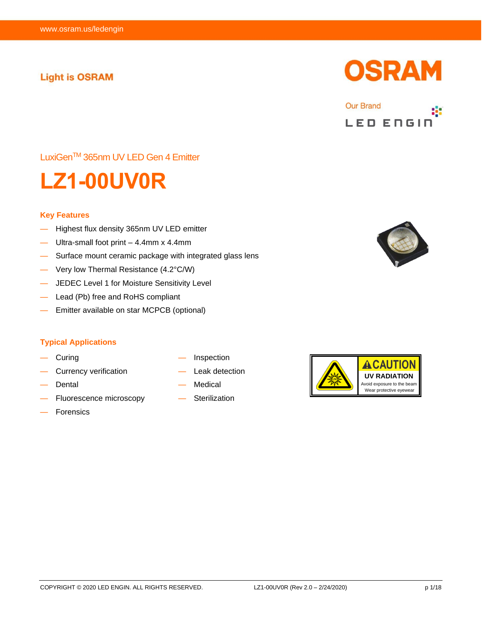# **Light is OSRAM**





LuxiGenTM 365nm UV LED Gen 4 Emitter



#### **Key Features**

- Highest flux density 365nm UV LED emitter
- Ultra-small foot print  $-4.4$ mm x 4.4mm
- Surface mount ceramic package with integrated glass lens
- Very low Thermal Resistance (4.2°C/W)
- JEDEC Level 1 for Moisture Sensitivity Level
- Lead (Pb) free and RoHS compliant
- Emitter available on star MCPCB (optional)

#### **Typical Applications**

- Curing
- Currency verification
- Dental
- Fluorescence microscopy
- Forensics
- **Inspection**
- Leak detection
- **Medical**
- **Sterilization**



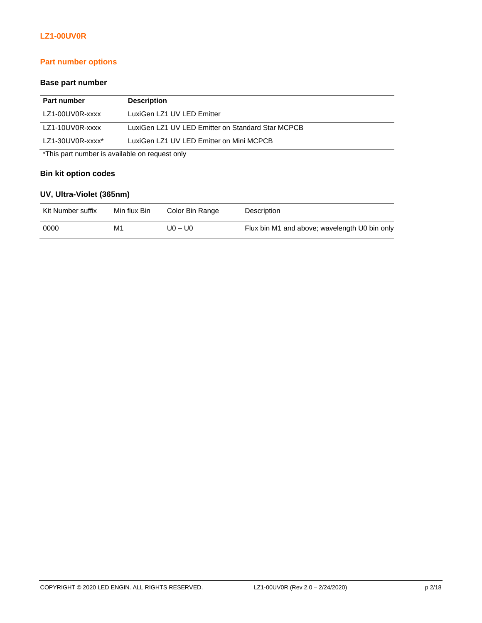# **Part number options**

## **Base part number**

| Part number                                    | <b>Description</b>                                |  |
|------------------------------------------------|---------------------------------------------------|--|
| LZ1-00UV0R-xxxx                                | LuxiGen LZ1 UV LED Emitter                        |  |
| LZ1-10UV0R-xxxx                                | LuxiGen LZ1 UV LED Emitter on Standard Star MCPCB |  |
| LZ1-30UV0R-xxxx*                               | LuxiGen LZ1 UV LED Emitter on Mini MCPCB          |  |
| *This part number is available on request only |                                                   |  |

#### **Bin kit option codes**

# **UV, Ultra-Violet (365nm)**

| Kit Number suffix | Min flux Bin | Color Bin Range | Description                                   |
|-------------------|--------------|-----------------|-----------------------------------------------|
| 0000              | М1           | U0 – U0         | Flux bin M1 and above; wavelength U0 bin only |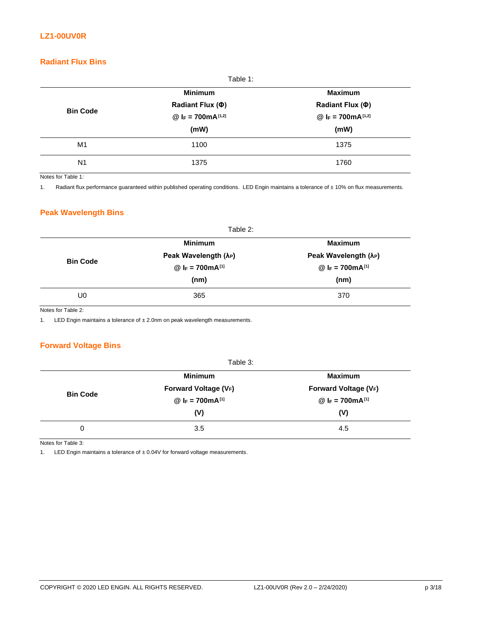# **Radiant Flux Bins**

|                 | Table 1:              |                       |
|-----------------|-----------------------|-----------------------|
|                 | <b>Minimum</b>        | <b>Maximum</b>        |
|                 | Radiant Flux (Φ)      | Radiant Flux (Φ)      |
| <b>Bin Code</b> | @ $F = 700mA^{[1,2]}$ | @ $F = 700mA^{[1,2]}$ |
|                 | (mW)                  | (mW)                  |
| M1              | 1100                  | 1375                  |
| N <sub>1</sub>  | 1375                  | 1760                  |

Notes for Table 1:

1. Radiant flux performance guaranteed within published operating conditions. LED Engin maintains a tolerance of ± 10% on flux measurements.

#### **Peak Wavelength Bins**

|                 | Table 2:                          |                                   |  |
|-----------------|-----------------------------------|-----------------------------------|--|
|                 | <b>Minimum</b>                    | <b>Maximum</b>                    |  |
| <b>Bin Code</b> | Peak Wavelength (λ <sub>P</sub> ) | Peak Wavelength (λ <sub>P</sub> ) |  |
|                 | @ $I_F = 700mA^{[1]}$             | @ $I_F = 700mA^{[1]}$             |  |
|                 | (nm)                              | (nm)                              |  |
| U0              | 365                               | 370                               |  |

Notes for Table 2:

1. LED Engin maintains a tolerance of ± 2.0nm on peak wavelength measurements.

#### **Forward Voltage Bins**

|                 | Table 3:              |                       |
|-----------------|-----------------------|-----------------------|
|                 | <b>Minimum</b>        | <b>Maximum</b>        |
| <b>Bin Code</b> | Forward Voltage (VF)  | Forward Voltage (VF)  |
|                 | @ $I_F = 700mA^{[1]}$ | @ $I_F = 700mA^{[1]}$ |
|                 | (V)                   | (V)                   |
| 0               | 3.5                   | 4.5                   |

Notes for Table 3:

1. LED Engin maintains a tolerance of  $\pm$  0.04V for forward voltage measurements.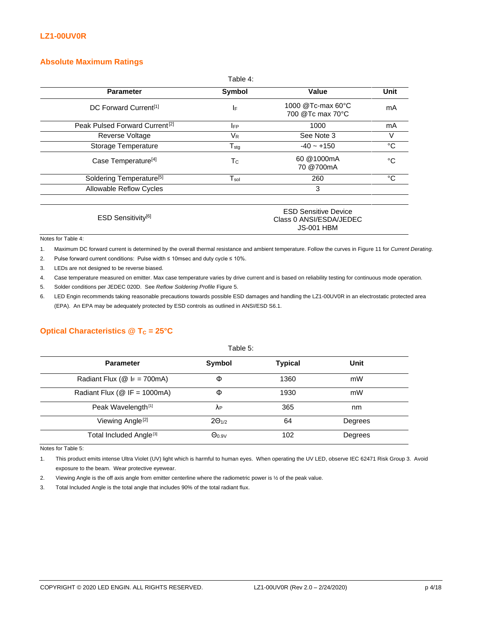#### **Absolute Maximum Ratings**

|                                            | Table 4:                    |                                                                             |      |
|--------------------------------------------|-----------------------------|-----------------------------------------------------------------------------|------|
| <b>Parameter</b>                           | Symbol                      | Value                                                                       | Unit |
| DC Forward Current <sup>[1]</sup>          | IF                          | 1000 @Tc-max 60°C<br>700 @Tc max 70°C                                       | mA   |
| Peak Pulsed Forward Current <sup>[2]</sup> | <b>IFP</b>                  | 1000                                                                        | mA   |
| Reverse Voltage                            | $V_{R}$                     | See Note 3                                                                  | V    |
| Storage Temperature                        | $T_{\text{stg}}$            | $-40 - +150$                                                                | °C   |
| Case Temperature <sup>[4]</sup>            | Tc                          | 60 @1000mA<br>70 @700mA                                                     | °€   |
| Soldering Temperature <sup>[5]</sup>       | $\mathsf{T}_{\mathsf{sol}}$ | 260                                                                         | °C   |
| Allowable Reflow Cycles                    |                             | 3                                                                           |      |
| ESD Sensitivity <sup>[6]</sup>             |                             | <b>ESD Sensitive Device</b><br>Class 0 ANSI/ESDA/JEDEC<br><b>JS-001 HBM</b> |      |
| Notes for Table 4:                         |                             |                                                                             |      |

1. Maximum DC forward current is determined by the overall thermal resistance and ambient temperature. Follow the curves in Figure 11 for *Current Derating*.

2. Pulse forward current conditions: Pulse width ≤ 10msec and duty cycle ≤ 10%.

3. LEDs are not designed to be reverse biased.

4. Case temperature measured on emitter. Max case temperature varies by drive current and is based on reliability testing for continuous mode operation.

5. Solder conditions per JEDEC 020D. See *Reflow Soldering Profile* Figure 5.

6. LED Engin recommends taking reasonable precautions towards possible ESD damages and handling the LZ1-00UV0R in an electrostatic protected area (EPA). An EPA may be adequately protected by ESD controls as outlined in ANSI/ESD S6.1.

#### **Optical Characteristics @ T<sub>C</sub> = 25°C**

| Table 5:                                   |                 |                |         |
|--------------------------------------------|-----------------|----------------|---------|
| <b>Parameter</b>                           | Symbol          | <b>Typical</b> | Unit    |
| Radiant Flux ( $@$ I <sub>F</sub> = 700mA) | Φ               | 1360           | mW      |
| Radiant Flux ( $@$ IF = 1000mA)            | Φ               | 1930           | mW      |
| Peak Wavelength <sup>[1]</sup>             | ΛP              | 365            | nm      |
| Viewing Angle <sup>[2]</sup>               | $2\Theta_{1/2}$ | 64             | Degrees |
| Total Included Angle <sup>[3]</sup>        | $\Theta_{0.9V}$ | 102            | Degrees |

Notes for Table 5:

1. This product emits intense Ultra Violet (UV) light which is harmful to human eyes. When operating the UV LED, observe IEC 62471 Risk Group 3. Avoid exposure to the beam. Wear protective eyewear.

2. Viewing Angle is the off axis angle from emitter centerline where the radiometric power is ½ of the peak value.

3. Total Included Angle is the total angle that includes 90% of the total radiant flux.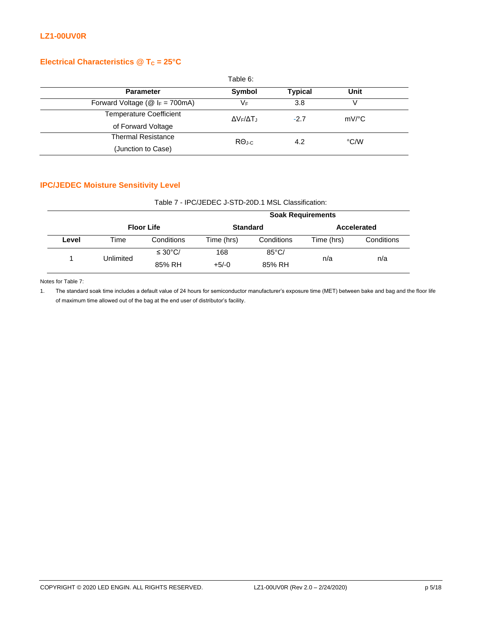## **Electrical Characteristics @ T<sub>C</sub> = 25°C**

|                                               | Table 6:                         |                |                     |  |
|-----------------------------------------------|----------------------------------|----------------|---------------------|--|
| <b>Parameter</b>                              | <b>Symbol</b>                    | <b>Typical</b> | Unit                |  |
| Forward Voltage ( $@$ I <sub>F</sub> = 700mA) | VF                               | 3.8            |                     |  |
| <b>Temperature Coefficient</b>                | ΔV <sub>F</sub> /ΔT <sub>J</sub> | $-2.7$         | $mV$ <sup>o</sup> C |  |
| of Forward Voltage                            |                                  |                |                     |  |
| <b>Thermal Resistance</b>                     | $R\Theta_{\text{J-C}}$           | 4.2            | °C/W                |  |
| (Junction to Case)                            |                                  |                |                     |  |

## **IPC/JEDEC Moisture Sensitivity Level**

| Table 7 - IPC/JEDEC J-STD-20D.1 MSL Classification: |  |
|-----------------------------------------------------|--|
|                                                     |  |

|       |           | <b>Soak Requirements</b> |            |                 |            |             |
|-------|-----------|--------------------------|------------|-----------------|------------|-------------|
|       |           | <b>Floor Life</b>        |            | <b>Standard</b> |            | Accelerated |
| Level | Time      | Conditions               | Time (hrs) | Conditions      | Time (hrs) | Conditions  |
|       | Unlimited | $\leq 30^{\circ}$ C/     | 168        | $85^{\circ}$ C/ |            | n/a         |
|       |           | 85% RH                   | $+5/-0$    | 85% RH          | n/a        |             |

Notes for Table 7:

1. The standard soak time includes a default value of 24 hours for semiconductor manufacturer's exposure time (MET) between bake and bag and the floor life of maximum time allowed out of the bag at the end user of distributor's facility.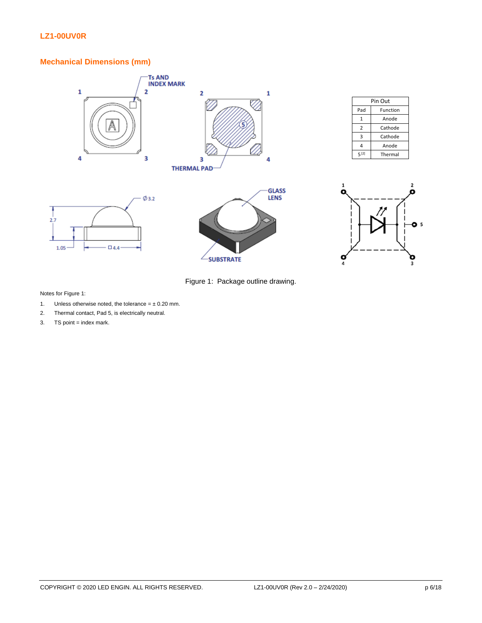# **Mechanical Dimensions (mm)**



| Pin Out        |          |  |
|----------------|----------|--|
| Pad            | Function |  |
| 1              | Anode    |  |
| $\overline{2}$ | Cathode  |  |
| 3              | Cathode  |  |
| 4              | Anode    |  |
| 5[2]           | Thermal  |  |









Notes for Figure 1:

- 1. Unless otherwise noted, the tolerance =  $\pm$  0.20 mm.
- 2. Thermal contact, Pad 5, is electrically neutral.
- $3.$  TS point = index mark.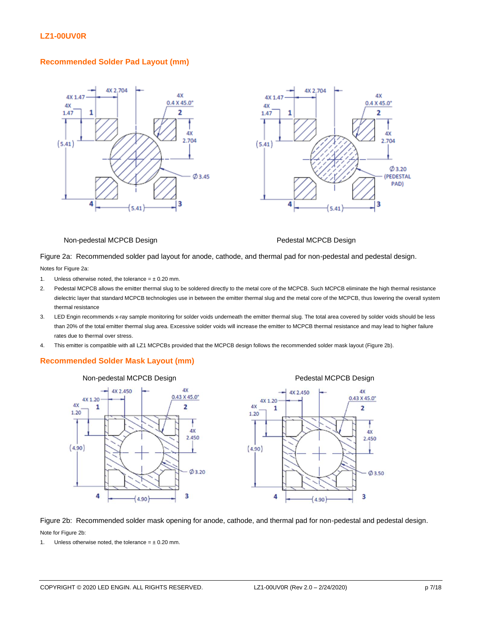#### **Recommended Solder Pad Layout (mm)**





#### Non-pedestal MCPCB Design Pedestal MCPCB Design

4X

 $0.43 \times 45.0$ 

 $\overline{2}$ 

**AY** 

2.450

 $\varphi$  3.50

3

Figure 2a: Recommended solder pad layout for anode, cathode, and thermal pad for non-pedestal and pedestal design.

Notes for Figure 2a:

- 1. Unless otherwise noted, the tolerance  $= \pm 0.20$  mm.
- 2. Pedestal MCPCB allows the emitter thermal slug to be soldered directly to the metal core of the MCPCB. Such MCPCB eliminate the high thermal resistance dielectric layer that standard MCPCB technologies use in between the emitter thermal slug and the metal core of the MCPCB, thus lowering the overall system thermal resistance
- 3. LED Engin recommends x-ray sample monitoring for solder voids underneath the emitter thermal slug. The total area covered by solder voids should be less than 20% of the total emitter thermal slug area. Excessive solder voids will increase the emitter to MCPCB thermal resistance and may lead to higher failure rates due to thermal over stress.
- 4. This emitter is compatible with all LZ1 MCPCBs provided that the MCPCB design follows the recommended solder mask layout (Figure 2b).

#### **Recommended Solder Mask Layout (mm)**



Figure 2b: Recommended solder mask opening for anode, cathode, and thermal pad for non-pedestal and pedestal design. Note for Figure 2b:

1. Unless otherwise noted, the tolerance =  $\pm$  0.20 mm.

 $(4.90)$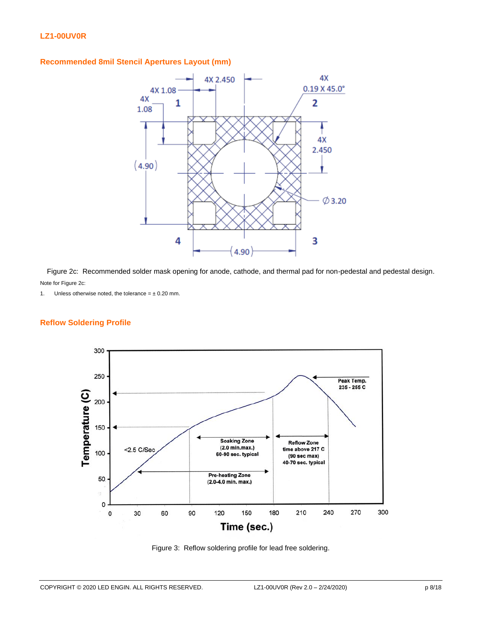#### **Recommended 8mil Stencil Apertures Layout (mm)**



Figure 2c: Recommended solder mask opening for anode, cathode, and thermal pad for non-pedestal and pedestal design. Note for Figure 2c:

1. Unless otherwise noted, the tolerance =  $\pm$  0.20 mm.

#### **Reflow Soldering Profile**



Figure 3: Reflow soldering profile for lead free soldering.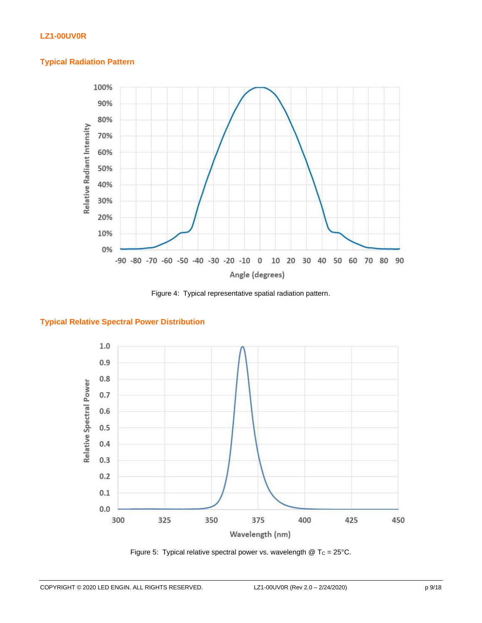#### **Typical Radiation Pattern**



Figure 4: Typical representative spatial radiation pattern.

#### **Typical Relative Spectral Power Distribution**



Figure 5: Typical relative spectral power vs. wavelength  $@$  T<sub>C</sub> = 25°C.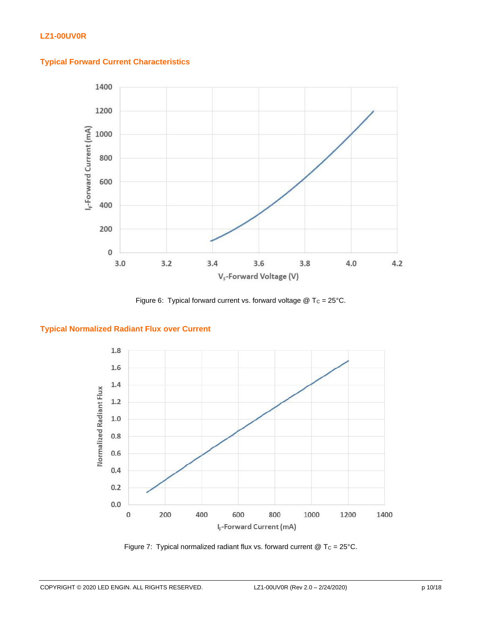



Figure 6: Typical forward current vs. forward voltage  $@$  T<sub>C</sub> = 25°C.

#### **Typical Normalized Radiant Flux over Current**



Figure 7: Typical normalized radiant flux vs. forward current  $@$  T<sub>C</sub> = 25°C.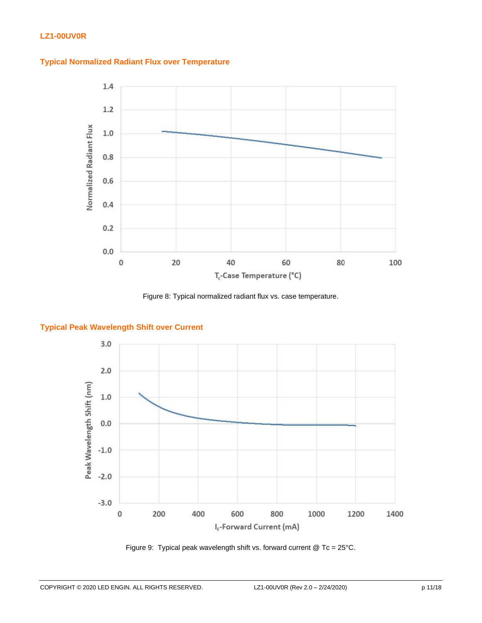



Figure 8: Typical normalized radiant flux vs. case temperature.

#### **Typical Peak Wavelength Shift over Current**



Figure 9: Typical peak wavelength shift vs. forward current @ Tc = 25°C.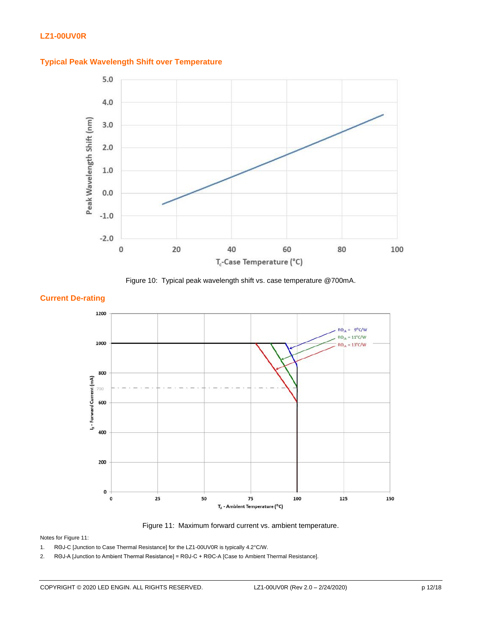





#### **Current De-rating**



Figure 11: Maximum forward current vs. ambient temperature.

Notes for Figure 11:

1. RΘJ-C [Junction to Case Thermal Resistance] for the LZ1-00UV0R is typically 4.2°C/W.

2. RΘJ-A [Junction to Ambient Thermal Resistance] = RΘJ-C + RΘC-A [Case to Ambient Thermal Resistance].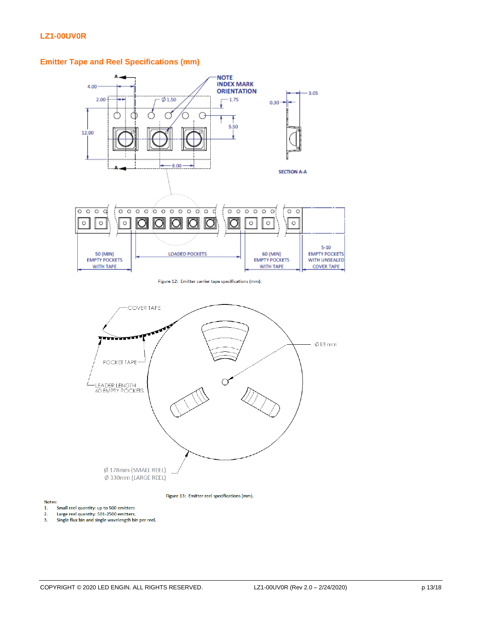

# **Emitter Tape and Reel Specifications (mm)**

Figure 12: Emitter carrier tape specifications (mm).



Figure 13: Emitter reel specifications (mm).

Notes:

- $1.$
- $2.$
- s.<br>Small reel quantity: up to 500 emitters<br>Large reel quantity: 501-2500 emitters.<br>Single flux bin and single wavelength bin per reel.  $\overline{3}$ .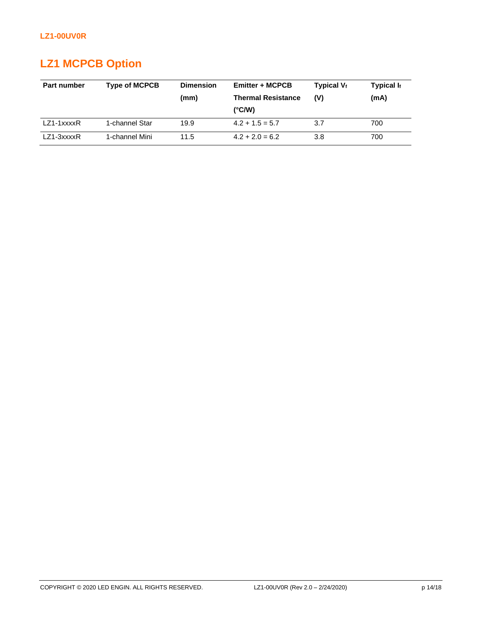# **LZ1 MCPCB Option**

| Part number  | <b>Type of MCPCB</b> | <b>Dimension</b><br>(mm) | <b>Emitter + MCPCB</b><br><b>Thermal Resistance</b><br>$(^{\circ}C/W)$ | Typical $V_f$<br>(V) | Typical $I_f$<br>(mA) |
|--------------|----------------------|--------------------------|------------------------------------------------------------------------|----------------------|-----------------------|
| $LZ1-1xxxxR$ | 1-channel Star       | 19.9                     | $4.2 + 1.5 = 5.7$                                                      | 3.7                  | 700                   |
| $LZ1-3xxxxR$ | 1-channel Mini       | 11.5                     | $4.2 + 2.0 = 6.2$                                                      | 3.8                  | 700                   |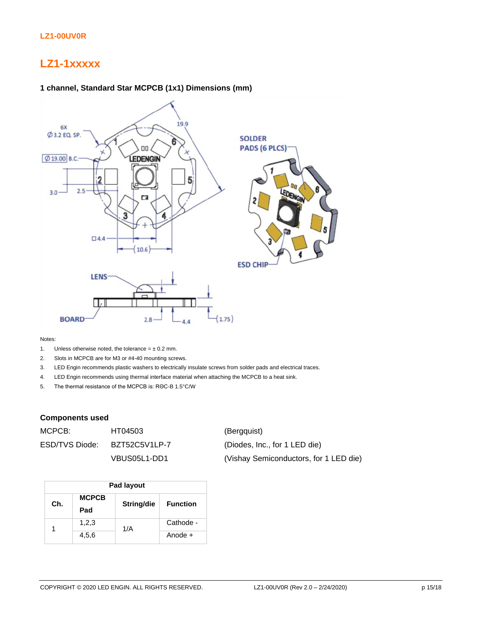# **LZ1-1xxxxx**



Notes:

- 1. Unless otherwise noted, the tolerance =  $\pm$  0.2 mm.
- 2. Slots in MCPCB are for M3 or #4-40 mounting screws.
- 3. LED Engin recommends plastic washers to electrically insulate screws from solder pads and electrical traces.
- 4. LED Engin recommends using thermal interface material when attaching the MCPCB to a heat sink.
- 5. The thermal resistance of the MCPCB is: RΘC-B 1.5°C/W

#### **Components used**

| MCPCB: I       | HT04503       | (Bergguist)                            |
|----------------|---------------|----------------------------------------|
| ESD/TVS Diode: | BZT52C5V1LP-7 | (Diodes, Inc., for 1 LED die)          |
|                | VBUS05L1-DD1  | (Vishay Semiconductors, for 1 LED die) |

| Pad layout |                     |            |                 |  |  |
|------------|---------------------|------------|-----------------|--|--|
| Ch.        | <b>MCPCB</b><br>Pad | String/die | <b>Function</b> |  |  |
| 1          | 1,2,3               | 1/A        | Cathode -       |  |  |
|            | 4,5,6               |            | Anode +         |  |  |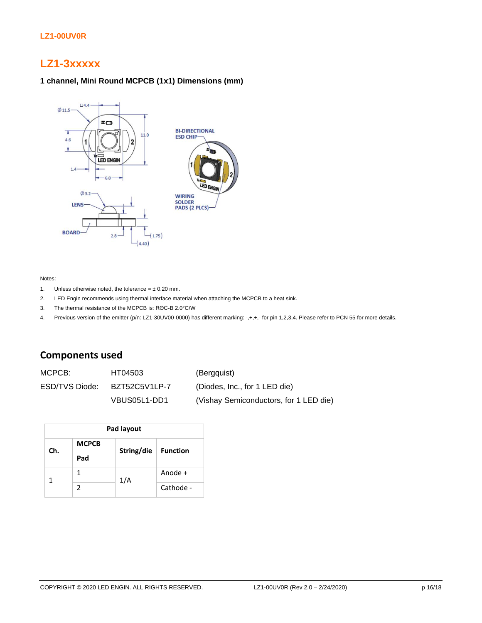# **LZ1-3xxxxx**

#### **1 channel, Mini Round MCPCB (1x1) Dimensions (mm)**



#### Notes:

- 1. Unless otherwise noted, the tolerance  $= \pm 0.20$  mm.
- 2. LED Engin recommends using thermal interface material when attaching the MCPCB to a heat sink.
- 3. The thermal resistance of the MCPCB is: RΘC-B 2.0°C/W
- 4. Previous version of the emitter (p/n: LZ1-30UV00-0000) has different marking: -,+,+,- for pin 1,2,3,4. Please refer to PCN 55 for more details.

# **Components used**

MCPCB: HT04503 (Bergquist) ESD/TVS Diode: BZT52C5V1LP-7 (Diodes, Inc., for 1 LED die) VBUS05L1-DD1 (Vishay Semiconductors, for 1 LED die)

| Pad layout |               |            |                 |  |  |
|------------|---------------|------------|-----------------|--|--|
| Ch.        | <b>MCPCB</b>  | String/die | <b>Function</b> |  |  |
|            | Pad           |            |                 |  |  |
|            | 1             | 1/A        | Anode +         |  |  |
|            | $\mathcal{P}$ |            | Cathode -       |  |  |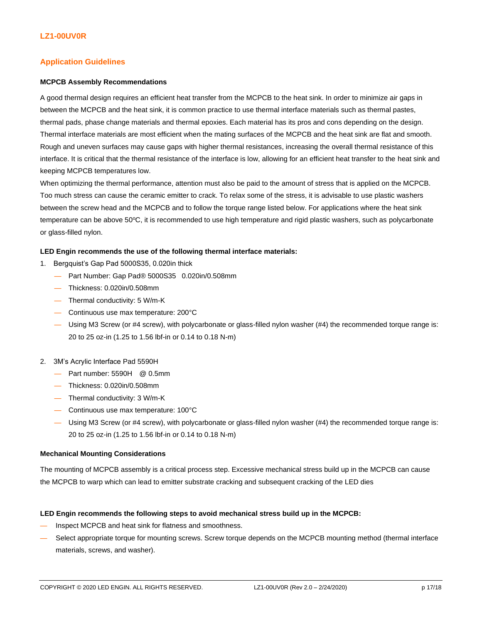#### **Application Guidelines**

#### **MCPCB Assembly Recommendations**

A good thermal design requires an efficient heat transfer from the MCPCB to the heat sink. In order to minimize air gaps in between the MCPCB and the heat sink, it is common practice to use thermal interface materials such as thermal pastes, thermal pads, phase change materials and thermal epoxies. Each material has its pros and cons depending on the design. Thermal interface materials are most efficient when the mating surfaces of the MCPCB and the heat sink are flat and smooth. Rough and uneven surfaces may cause gaps with higher thermal resistances, increasing the overall thermal resistance of this interface. It is critical that the thermal resistance of the interface is low, allowing for an efficient heat transfer to the heat sink and keeping MCPCB temperatures low.

When optimizing the thermal performance, attention must also be paid to the amount of stress that is applied on the MCPCB. Too much stress can cause the ceramic emitter to crack. To relax some of the stress, it is advisable to use plastic washers between the screw head and the MCPCB and to follow the torque range listed below. For applications where the heat sink temperature can be above  $50^{\circ}$ C, it is recommended to use high temperature and rigid plastic washers, such as polycarbonate or glass-filled nylon.

#### **LED Engin recommends the use of the following thermal interface materials:**

- 1. Bergquist's Gap Pad 5000S35, 0.020in thick
	- Part Number: Gap Pad® 5000S35 0.020in/0.508mm
	- Thickness: 0.020in/0.508mm
	- Thermal conductivity: 5 W/m-K
	- Continuous use max temperature: 200°C
	- Using M3 Screw (or #4 screw), with polycarbonate or glass-filled nylon washer (#4) the recommended torque range is: 20 to 25 oz-in (1.25 to 1.56 lbf-in or 0.14 to 0.18 N-m)
- 2. 3M's Acrylic Interface Pad 5590H
	- Part number: 5590H @ 0.5mm
	- Thickness: 0.020in/0.508mm
	- Thermal conductivity: 3 W/m-K
	- Continuous use max temperature: 100°C
	- Using M3 Screw (or #4 screw), with polycarbonate or glass-filled nylon washer (#4) the recommended torque range is: 20 to 25 oz-in (1.25 to 1.56 lbf-in or 0.14 to 0.18 N-m)

#### **Mechanical Mounting Considerations**

The mounting of MCPCB assembly is a critical process step. Excessive mechanical stress build up in the MCPCB can cause the MCPCB to warp which can lead to emitter substrate cracking and subsequent cracking of the LED dies

#### **LED Engin recommends the following steps to avoid mechanical stress build up in the MCPCB:**

- Inspect MCPCB and heat sink for flatness and smoothness.
- Select appropriate torque for mounting screws. Screw torque depends on the MCPCB mounting method (thermal interface materials, screws, and washer).